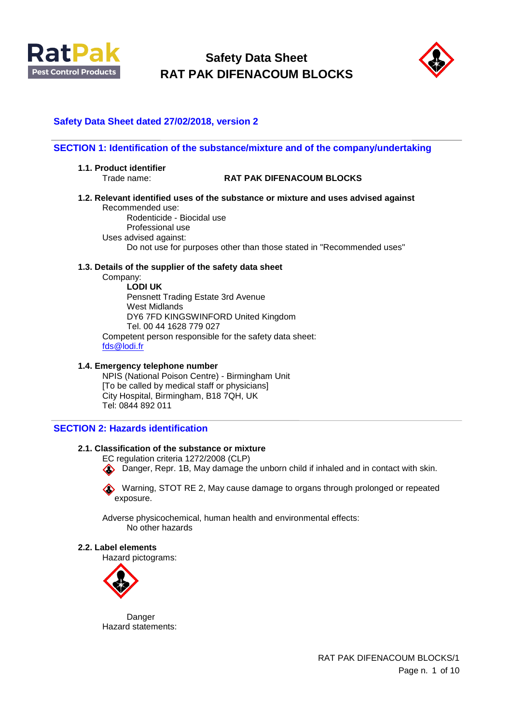



## **Safety Data Sheet dated 27/02/2018, version 2**

#### **SECTION 1: Identification of the substance/mixture and of the company/undertaking**

- **1.1. Product identifier** 
	-

#### Trade name: **RAT PAK DIFENACOUM BLOCKS**

**1.2. Relevant identified uses of the substance or mixture and uses advised against**  Recommended use:

Rodenticide - Biocidal use Professional use Uses advised against: Do not use for purposes other than those stated in "Recommended uses"

#### **1.3. Details of the supplier of the safety data sheet**

Company:

**LODI UK**  Pensnett Trading Estate 3rd Avenue West Midlands DY6 7FD KINGSWINFORD United Kingdom Tel. 00 44 1628 779 027 Competent person responsible for the safety data sheet: [fds@lodi.fr](mailto:fds@lodi.fr)

#### **1.4. Emergency telephone number**

NPIS (National Poison Centre) - Birmingham Unit [To be called by medical staff or physicians] City Hospital, Birmingham, B18 7QH, UK Tel: 0844 892 011

## **SECTION 2: Hazards identification**

## **2.1. Classification of the substance or mixture**

EC regulation criteria 1272/2008 (CLP)

Danger, Repr. 1B, May damage the unborn child if inhaled and in contact with skin.

Warning, STOT RE 2, May cause damage to organs through prolonged or repeated exposure.

Adverse physicochemical, human health and environmental effects: No other hazards

#### **2.2. Label elements**

Hazard pictograms:



Danger Hazard statements:

> RAT PAK DIFENACOUM BLOCKS/1 Page n. 1 of 10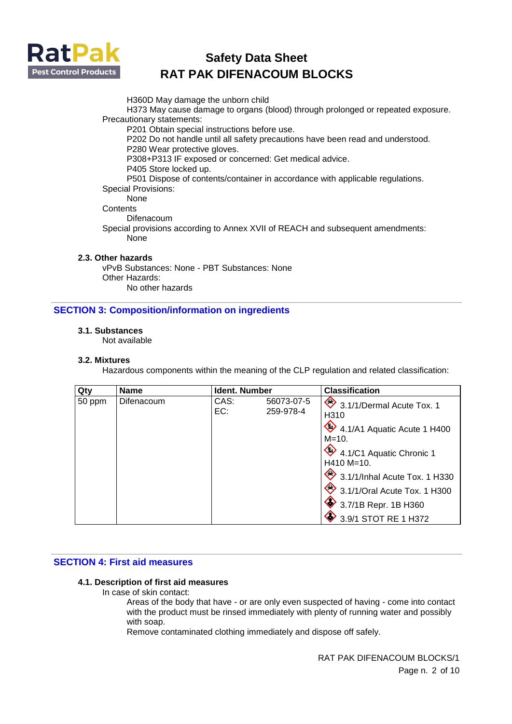

H360D May damage the unborn child

H373 May cause damage to organs (blood) through prolonged or repeated exposure. Precautionary statements:

P201 Obtain special instructions before use.

P202 Do not handle until all safety precautions have been read and understood. P280 Wear protective gloves.

P308+P313 IF exposed or concerned: Get medical advice.

P405 Store locked up.

P501 Dispose of contents/container in accordance with applicable regulations.

## Special Provisions:

None

**Contents** 

Difenacoum

Special provisions according to Annex XVII of REACH and subsequent amendments: None

## **2.3. Other hazards**

vPvB Substances: None - PBT Substances: None Other Hazards: No other hazards

## **SECTION 3: Composition/information on ingredients**

## **3.1. Substances**

Not available

#### **3.2. Mixtures**

Hazardous components within the meaning of the CLP regulation and related classification:

| Qty    | <b>Name</b>       | <b>Ident. Number</b> |                         | <b>Classification</b>                                                                                                                                                                                                                      |
|--------|-------------------|----------------------|-------------------------|--------------------------------------------------------------------------------------------------------------------------------------------------------------------------------------------------------------------------------------------|
| 50 ppm | <b>Difenacoum</b> | CAS:<br>EC:          | 56073-07-5<br>259-978-4 | 3.1/1/Dermal Acute Tox. 1<br>H310<br>4.1/A1 Aquatic Acute 1 H400<br>$M = 10.$<br>4.1/C1 Aquatic Chronic 1<br>$H410 M=10.$<br>3.1/1/Inhal Acute Tox. 1 H330<br>3.1/1/Oral Acute Tox. 1 H300<br>3.7/1B Repr. 1B H360<br>3.9/1 STOT RE 1 H372 |

## **SECTION 4: First aid measures**

## **4.1. Description of first aid measures**

In case of skin contact:

Areas of the body that have - or are only even suspected of having - come into contact with the product must be rinsed immediately with plenty of running water and possibly with soap.

Remove contaminated clothing immediately and dispose off safely.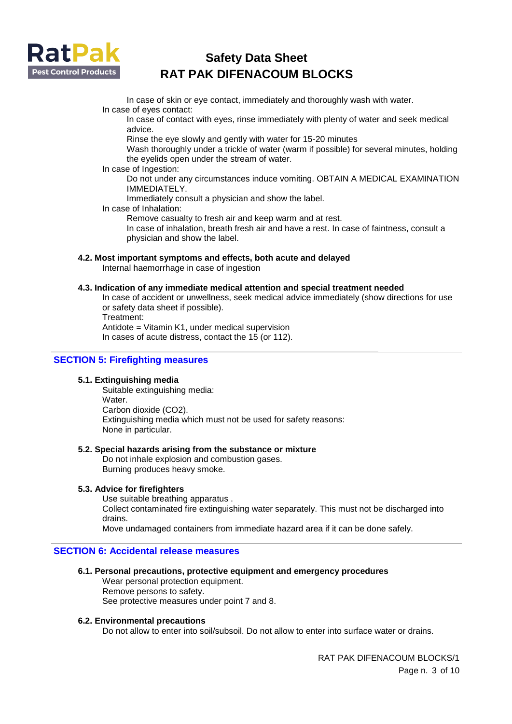

In case of skin or eye contact, immediately and thoroughly wash with water. In case of eyes contact:

In case of contact with eyes, rinse immediately with plenty of water and seek medical advice.

Rinse the eye slowly and gently with water for 15-20 minutes

Wash thoroughly under a trickle of water (warm if possible) for several minutes, holding the eyelids open under the stream of water.

In case of Ingestion:

Do not under any circumstances induce vomiting. OBTAIN A MEDICAL EXAMINATION IMMEDIATELY.

Immediately consult a physician and show the label.

In case of Inhalation:

Remove casualty to fresh air and keep warm and at rest.

In case of inhalation, breath fresh air and have a rest. In case of faintness, consult a physician and show the label.

## **4.2. Most important symptoms and effects, both acute and delayed**

Internal haemorrhage in case of ingestion

## **4.3. Indication of any immediate medical attention and special treatment needed**

In case of accident or unwellness, seek medical advice immediately (show directions for use or safety data sheet if possible).

Treatment:

Antidote = Vitamin K1, under medical supervision

In cases of acute distress, contact the 15 (or 112).

## **SECTION 5: Firefighting measures**

## **5.1. Extinguishing media**

Suitable extinguishing media: Water. Carbon dioxide (CO2). Extinguishing media which must not be used for safety reasons: None in particular.

#### **5.2. Special hazards arising from the substance or mixture**

Do not inhale explosion and combustion gases. Burning produces heavy smoke.

#### **5.3. Advice for firefighters**

Use suitable breathing apparatus . Collect contaminated fire extinguishing water separately. This must not be discharged into drains. Move undamaged containers from immediate hazard area if it can be done safely.

## **SECTION 6: Accidental release measures**

## **6.1. Personal precautions, protective equipment and emergency procedures**

Wear personal protection equipment. Remove persons to safety. See protective measures under point 7 and 8.

#### **6.2. Environmental precautions**

Do not allow to enter into soil/subsoil. Do not allow to enter into surface water or drains.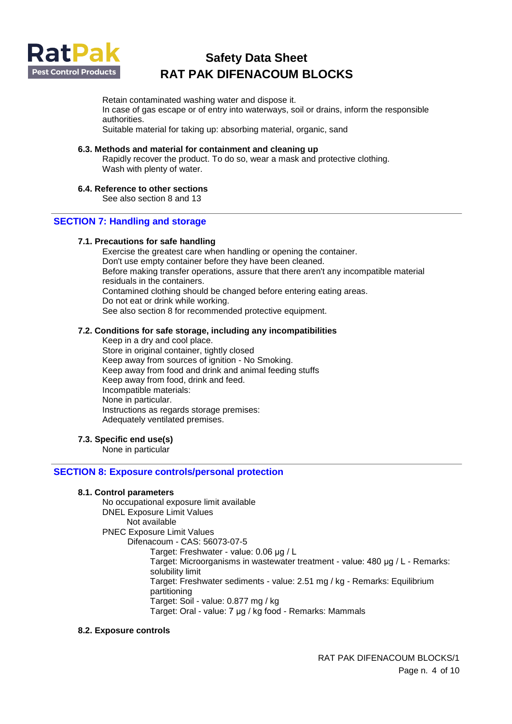

Retain contaminated washing water and dispose it. In case of gas escape or of entry into waterways, soil or drains, inform the responsible authorities. Suitable material for taking up: absorbing material, organic, sand

#### **6.3. Methods and material for containment and cleaning up**

Rapidly recover the product. To do so, wear a mask and protective clothing. Wash with plenty of water.

#### **6.4. Reference to other sections**

See also section 8 and 13

## **SECTION 7: Handling and storage**

#### **7.1. Precautions for safe handling**

Exercise the greatest care when handling or opening the container. Don't use empty container before they have been cleaned. Before making transfer operations, assure that there aren't any incompatible material residuals in the containers. Contamined clothing should be changed before entering eating areas. Do not eat or drink while working. See also section 8 for recommended protective equipment.

#### **7.2. Conditions for safe storage, including any incompatibilities**

Keep in a dry and cool place. Store in original container, tightly closed Keep away from sources of ignition - No Smoking. Keep away from food and drink and animal feeding stuffs Keep away from food, drink and feed. Incompatible materials: None in particular. Instructions as regards storage premises: Adequately ventilated premises.

#### **7.3. Specific end use(s)**

None in particular

## **SECTION 8: Exposure controls/personal protection**

#### **8.1. Control parameters**

No occupational exposure limit available DNEL Exposure Limit Values Not available PNEC Exposure Limit Values Difenacoum - CAS: 56073-07-5 Target: Freshwater - value: 0.06 μg / L Target: Microorganisms in wastewater treatment - value: 480 μg / L - Remarks: solubility limit Target: Freshwater sediments - value: 2.51 mg / kg - Remarks: Equilibrium partitioning Target: Soil - value: 0.877 mg / kg Target: Oral - value: 7 μg / kg food - Remarks: Mammals

#### **8.2. Exposure controls**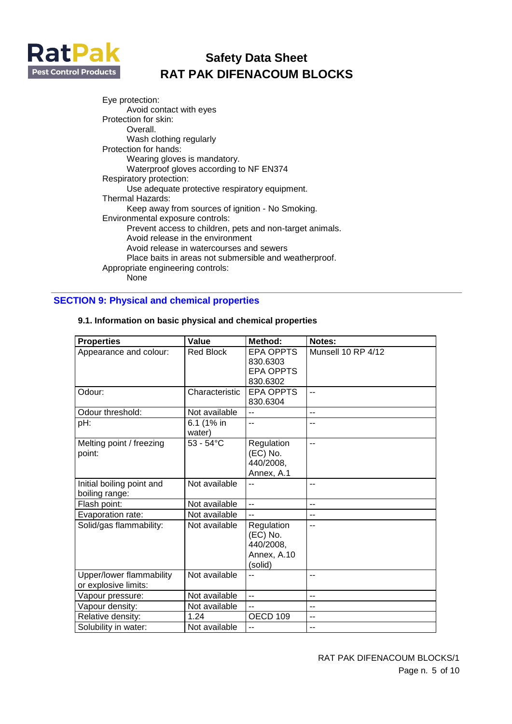

Eye protection: Avoid contact with eyes Protection for skin: Overall. Wash clothing regularly Protection for hands: Wearing gloves is mandatory. Waterproof gloves according to NF EN374 Respiratory protection: Use adequate protective respiratory equipment. Thermal Hazards: Keep away from sources of ignition - No Smoking. Environmental exposure controls: Prevent access to children, pets and non-target animals. Avoid release in the environment Avoid release in watercourses and sewers Place baits in areas not submersible and weatherproof. Appropriate engineering controls: **None** 

## **SECTION 9: Physical and chemical properties**

| <b>Properties</b>                                | Value                | Method:             | Notes:             |
|--------------------------------------------------|----------------------|---------------------|--------------------|
| Appearance and colour:                           | Red Block            | <b>EPA OPPTS</b>    | Munsell 10 RP 4/12 |
|                                                  |                      | 830.6303            |                    |
|                                                  |                      | <b>EPA OPPTS</b>    |                    |
|                                                  |                      | 830.6302            |                    |
| Odour:                                           | Characteristic       | <b>EPA OPPTS</b>    | $-$                |
|                                                  |                      | 830.6304            |                    |
| Odour threshold:                                 | Not available        | $-$                 | $\overline{a}$     |
| pH:                                              | 6.1 (1% in<br>water) | $-$                 | --                 |
| Melting point / freezing                         | $53 - 54$ °C         | Regulation          | $\overline{a}$     |
| point:                                           |                      | (EC) No.            |                    |
|                                                  |                      | 440/2008,           |                    |
|                                                  |                      | Annex, A.1          |                    |
| Initial boiling point and                        | Not available        |                     | $-$                |
| boiling range:                                   |                      |                     |                    |
| Flash point:                                     | Not available        | $\overline{a}$      | $\overline{a}$     |
| Evaporation rate:                                | Not available        |                     | $-$                |
| Solid/gas flammability:                          | Not available        | Regulation          | $\overline{a}$     |
|                                                  |                      | (EC) No.            |                    |
|                                                  |                      | 440/2008,           |                    |
|                                                  |                      | Annex, A.10         |                    |
|                                                  |                      | (solid)             |                    |
| Upper/lower flammability<br>or explosive limits: | Not available        |                     | --                 |
| Vapour pressure:                                 | Not available        | $\overline{a}$      | $\overline{a}$     |
| Vapour density:                                  | Not available        | $\overline{a}$      | $-$                |
| Relative density:                                | 1.24                 | OECD <sub>109</sub> | $\overline{a}$     |
| Solubility in water:                             | Not available        |                     | --                 |

#### **9.1. Information on basic physical and chemical properties**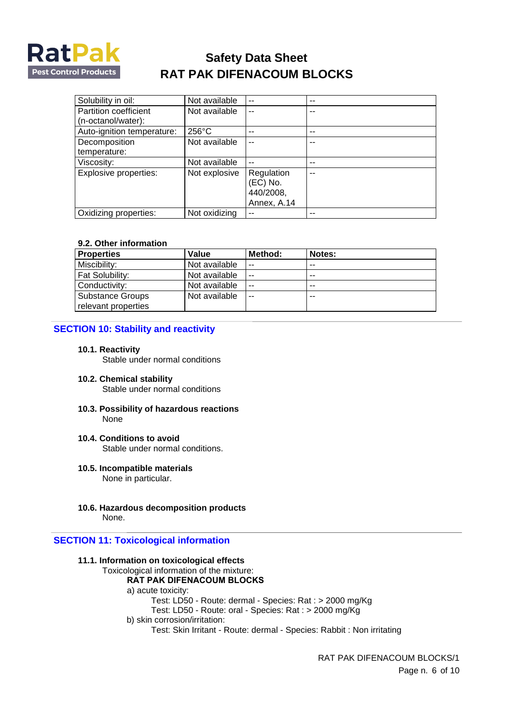

| Solubility in oil:         | Not available | $-$         |    |
|----------------------------|---------------|-------------|----|
| Partition coefficient      | Not available | $-$         |    |
| (n-octanol/water):         |               |             |    |
| Auto-ignition temperature: | 256°C         |             | -- |
| Decomposition              | Not available | --          |    |
| temperature:               |               |             |    |
| Viscosity:                 | Not available | $-$         | -- |
| Explosive properties:      | Not explosive | Regulation  |    |
|                            |               | $(EC)$ No.  |    |
|                            |               | 440/2008,   |    |
|                            |               | Annex, A.14 |    |
| Oxidizing properties:      | Not oxidizing |             |    |

#### **9.2. Other information**

| <b>Properties</b>                              | Value         | Method: | Notes: |
|------------------------------------------------|---------------|---------|--------|
| Miscibility:                                   | Not available | $-$     | --     |
| Fat Solubility:                                | Not available | $\sim$  | --     |
| Conductivity:                                  | Not available | $\sim$  | --     |
| <b>Substance Groups</b><br>relevant properties | Not available | $-$     | --     |

## **SECTION 10: Stability and reactivity**

#### **10.1. Reactivity**

Stable under normal conditions

- **10.2. Chemical stability**  Stable under normal conditions
- **10.3. Possibility of hazardous reactions**  None
- **10.4. Conditions to avoid**  Stable under normal conditions.
- **10.5. Incompatible materials**  None in particular.
- **10.6. Hazardous decomposition products**  None.

## **SECTION 11: Toxicological information**

- **11.1. Information on toxicological effects** 
	- Toxicological information of the mixture:

## **RAT PAK DIFENACOUM BLOCKS**

- a) acute toxicity:
	- Test: LD50 Route: dermal Species: Rat : > 2000 mg/Kg
	- Test: LD50 Route: oral Species: Rat : > 2000 mg/Kg
- b) skin corrosion/irritation:
	- Test: Skin Irritant Route: dermal Species: Rabbit : Non irritating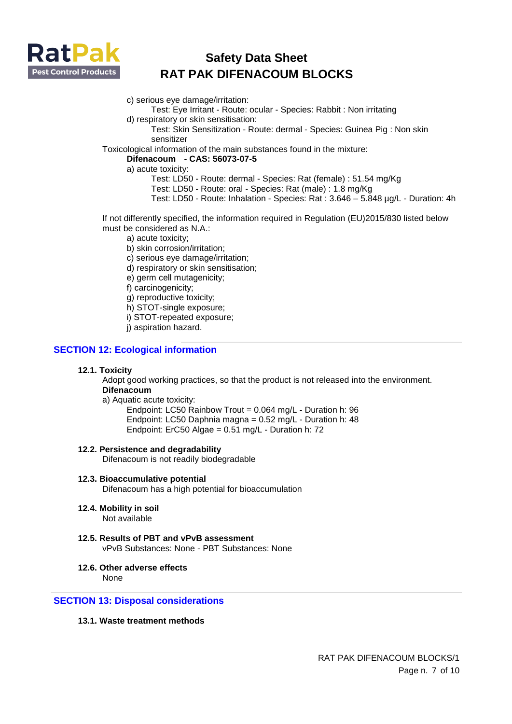

- c) serious eye damage/irritation:
	- Test: Eye Irritant Route: ocular Species: Rabbit : Non irritating
- d) respiratory or skin sensitisation:
	- Test: Skin Sensitization Route: dermal Species: Guinea Pig : Non skin sensitizer

Toxicological information of the main substances found in the mixture:

#### **Difenacoum - CAS: 56073-07-5**

a) acute toxicity:

- Test: LD50 Route: dermal Species: Rat (female) : 51.54 mg/Kg
- Test: LD50 Route: oral Species: Rat (male) : 1.8 mg/Kg
- Test: LD50 Route: Inhalation Species: Rat : 3.646 5.848 µg/L Duration: 4h

If not differently specified, the information required in Regulation (EU)2015/830 listed below must be considered as N.A.:

- a) acute toxicity;
- b) skin corrosion/irritation;
- c) serious eye damage/irritation;
- d) respiratory or skin sensitisation;
- e) germ cell mutagenicity;
- f) carcinogenicity;
- g) reproductive toxicity;
- h) STOT-single exposure;
- i) STOT-repeated exposure;
- j) aspiration hazard.

## **SECTION 12: Ecological information**

#### **12.1. Toxicity**

Adopt good working practices, so that the product is not released into the environment. **Difenacoum** 

a) Aquatic acute toxicity:

Endpoint: LC50 Rainbow Trout = 0.064 mg/L - Duration h: 96 Endpoint: LC50 Daphnia magna = 0.52 mg/L - Duration h: 48 Endpoint: ErC50 Algae = 0.51 mg/L - Duration h: 72

#### **12.2. Persistence and degradability**

Difenacoum is not readily biodegradable

- **12.3. Bioaccumulative potential**  Difenacoum has a high potential for bioaccumulation
- **12.4. Mobility in soil**

Not available

- **12.5. Results of PBT and vPvB assessment**  vPvB Substances: None - PBT Substances: None
- **12.6. Other adverse effects**

None

## **SECTION 13: Disposal considerations**

## **13.1. Waste treatment methods**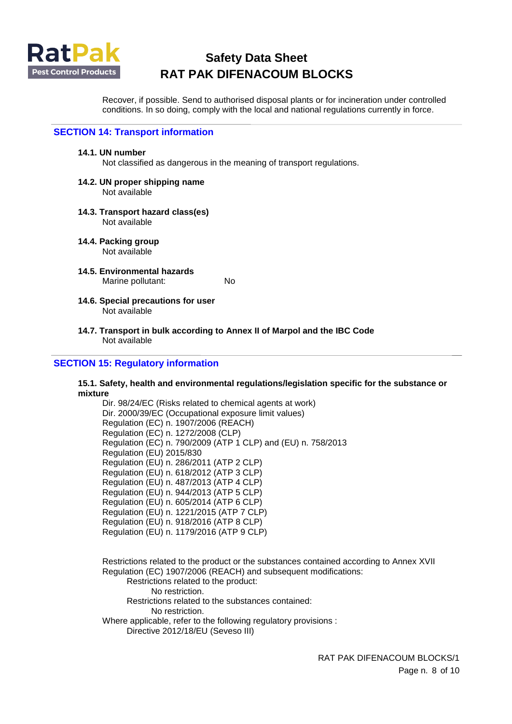

Recover, if possible. Send to authorised disposal plants or for incineration under controlled conditions. In so doing, comply with the local and national regulations currently in force.

## **SECTION 14: Transport information**

#### **14.1. UN number**

Not classified as dangerous in the meaning of transport regulations.

## **14.2. UN proper shipping name**

Not available

#### **14.3. Transport hazard class(es)**  Not available

- **14.4. Packing group**  Not available
- **14.5. Environmental hazards**  Marine pollutant: No
- **14.6. Special precautions for user**  Not available
- **14.7. Transport in bulk according to Annex II of Marpol and the IBC Code**  Not available

## **SECTION 15: Regulatory information**

#### **15.1. Safety, health and environmental regulations/legislation specific for the substance or mixture**

Dir. 98/24/EC (Risks related to chemical agents at work) Dir. 2000/39/EC (Occupational exposure limit values) Regulation (EC) n. 1907/2006 (REACH) Regulation (EC) n. 1272/2008 (CLP) Regulation (EC) n. 790/2009 (ATP 1 CLP) and (EU) n. 758/2013 Regulation (EU) 2015/830 Regulation (EU) n. 286/2011 (ATP 2 CLP) Regulation (EU) n. 618/2012 (ATP 3 CLP) Regulation (EU) n. 487/2013 (ATP 4 CLP) Regulation (EU) n. 944/2013 (ATP 5 CLP) Regulation (EU) n. 605/2014 (ATP 6 CLP) Regulation (EU) n. 1221/2015 (ATP 7 CLP) Regulation (EU) n. 918/2016 (ATP 8 CLP) Regulation (EU) n. 1179/2016 (ATP 9 CLP)

Restrictions related to the product or the substances contained according to Annex XVII Regulation (EC) 1907/2006 (REACH) and subsequent modifications: Restrictions related to the product: No restriction. Restrictions related to the substances contained: No restriction. Where applicable, refer to the following regulatory provisions : Directive 2012/18/EU (Seveso III)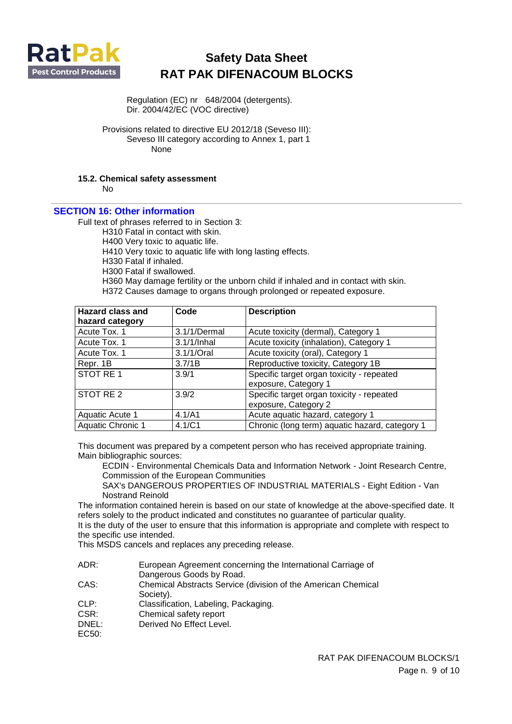

Regulation (EC) nr 648/2004 (detergents). Dir. 2004/42/EC (VOC directive)

Provisions related to directive EU 2012/18 (Seveso III): Seveso III category according to Annex 1, part 1 None

## **15.2. Chemical safety assessment**

 $N<sub>0</sub>$ 

## **SECTION 16: Other information**

Full text of phrases referred to in Section 3:

H310 Fatal in contact with skin.

H400 Very toxic to aquatic life.

H410 Very toxic to aquatic life with long lasting effects.

H330 Fatal if inhaled.

H300 Fatal if swallowed.

H360 May damage fertility or the unborn child if inhaled and in contact with skin.

H372 Causes damage to organs through prolonged or repeated exposure.

| Hazard class and  | Code         | <b>Description</b>                             |
|-------------------|--------------|------------------------------------------------|
| hazard category   |              |                                                |
| Acute Tox. 1      | 3.1/1/Dermal | Acute toxicity (dermal), Category 1            |
| Acute Tox. 1      | 3.1/1/Inhal  | Acute toxicity (inhalation), Category 1        |
| Acute Tox. 1      | 3.1/1/Oral   | Acute toxicity (oral), Category 1              |
| Repr. 1B          | 3.7/1B       | Reproductive toxicity, Category 1B             |
| STOT RE1          | 3.9/1        | Specific target organ toxicity - repeated      |
|                   |              | exposure, Category 1                           |
| STOT RE 2         | 3.9/2        | Specific target organ toxicity - repeated      |
|                   |              | exposure, Category 2                           |
| Aquatic Acute 1   | 4.1/A1       | Acute aquatic hazard, category 1               |
| Aquatic Chronic 1 | 4.1/C1       | Chronic (long term) aquatic hazard, category 1 |

This document was prepared by a competent person who has received appropriate training. Main bibliographic sources:

ECDIN - Environmental Chemicals Data and Information Network - Joint Research Centre, Commission of the European Communities

SAX's DANGEROUS PROPERTIES OF INDUSTRIAL MATERIALS - Eight Edition - Van Nostrand Reinold

The information contained herein is based on our state of knowledge at the above-specified date. It refers solely to the product indicated and constitutes no guarantee of particular quality.

It is the duty of the user to ensure that this information is appropriate and complete with respect to the specific use intended.

This MSDS cancels and replaces any preceding release.

- ADR: European Agreement concerning the International Carriage of Dangerous Goods by Road.
- CAS: Chemical Abstracts Service (division of the American Chemical Society).
- CLP: Classification, Labeling, Packaging.
- CSR: Chemical safety report
- DNEL: Derived No Effect Level.

EC50: